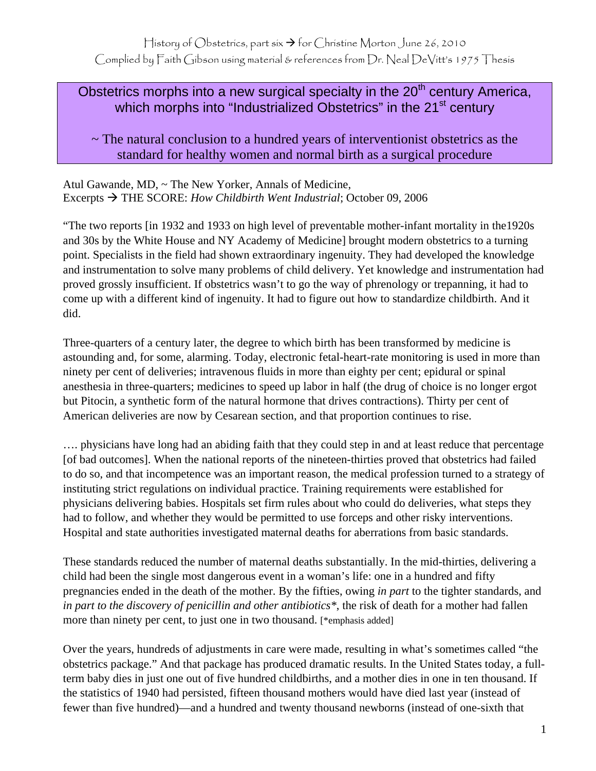## Obstetrics morphs into a new surgical specialty in the 20<sup>th</sup> century America, which morphs into "Industrialized Obstetrics" in the 21<sup>st</sup> century

## ~ The natural conclusion to a hundred years of interventionist obstetrics as the standard for healthy women and normal birth as a surgical procedure

Atul Gawande, MD, ~ The New Yorker, Annals of Medicine, Excerpts → THE SCORE: *How Childbirth Went Industrial*; October 09, 2006

"The two reports [in 1932 and 1933 on high level of preventable mother-infant mortality in the1920s and 30s by the White House and NY Academy of Medicine] brought modern obstetrics to a turning point. Specialists in the field had shown extraordinary ingenuity. They had developed the knowledge and instrumentation to solve many problems of child delivery. Yet knowledge and instrumentation had proved grossly insufficient. If obstetrics wasn't to go the way of phrenology or trepanning, it had to come up with a different kind of ingenuity. It had to figure out how to standardize childbirth. And it did.

Three-quarters of a century later, the degree to which birth has been transformed by medicine is astounding and, for some, alarming. Today, electronic fetal-heart-rate monitoring is used in more than ninety per cent of deliveries; intravenous fluids in more than eighty per cent; epidural or spinal anesthesia in three-quarters; medicines to speed up labor in half (the drug of choice is no longer ergot but Pitocin, a synthetic form of the natural hormone that drives contractions). Thirty per cent of American deliveries are now by Cesarean section, and that proportion continues to rise.

…. physicians have long had an abiding faith that they could step in and at least reduce that percentage [of bad outcomes]. When the national reports of the nineteen-thirties proved that obstetrics had failed to do so, and that incompetence was an important reason, the medical profession turned to a strategy of instituting strict regulations on individual practice. Training requirements were established for physicians delivering babies. Hospitals set firm rules about who could do deliveries, what steps they had to follow, and whether they would be permitted to use forceps and other risky interventions. Hospital and state authorities investigated maternal deaths for aberrations from basic standards.

These standards reduced the number of maternal deaths substantially. In the mid-thirties, delivering a child had been the single most dangerous event in a woman's life: one in a hundred and fifty pregnancies ended in the death of the mother. By the fifties, owing *in part* to the tighter standards, and *in part to the discovery of penicillin and other antibiotics\**, the risk of death for a mother had fallen more than ninety per cent, to just one in two thousand. [\*emphasis added]

Over the years, hundreds of adjustments in care were made, resulting in what's sometimes called "the obstetrics package." And that package has produced dramatic results. In the United States today, a fullterm baby dies in just one out of five hundred childbirths, and a mother dies in one in ten thousand. If the statistics of 1940 had persisted, fifteen thousand mothers would have died last year (instead of fewer than five hundred)—and a hundred and twenty thousand newborns (instead of one-sixth that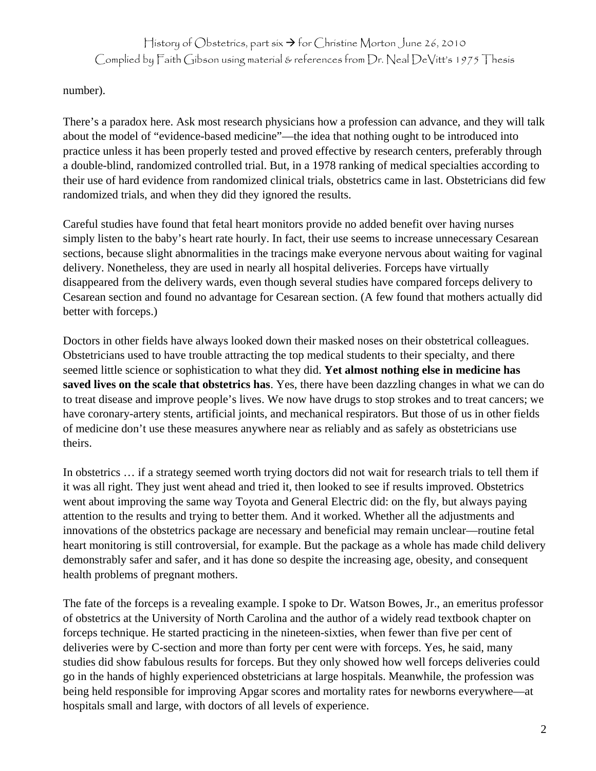number).

There's a paradox here. Ask most research physicians how a profession can advance, and they will talk about the model of "evidence-based medicine"—the idea that nothing ought to be introduced into practice unless it has been properly tested and proved effective by research centers, preferably through a double-blind, randomized controlled trial. But, in a 1978 ranking of medical specialties according to their use of hard evidence from randomized clinical trials, obstetrics came in last. Obstetricians did few randomized trials, and when they did they ignored the results.

Careful studies have found that fetal heart monitors provide no added benefit over having nurses simply listen to the baby's heart rate hourly. In fact, their use seems to increase unnecessary Cesarean sections, because slight abnormalities in the tracings make everyone nervous about waiting for vaginal delivery. Nonetheless, they are used in nearly all hospital deliveries. Forceps have virtually disappeared from the delivery wards, even though several studies have compared forceps delivery to Cesarean section and found no advantage for Cesarean section. (A few found that mothers actually did better with forceps.)

Doctors in other fields have always looked down their masked noses on their obstetrical colleagues. Obstetricians used to have trouble attracting the top medical students to their specialty, and there seemed little science or sophistication to what they did. **Yet almost nothing else in medicine has saved lives on the scale that obstetrics has**. Yes, there have been dazzling changes in what we can do to treat disease and improve people's lives. We now have drugs to stop strokes and to treat cancers; we have coronary-artery stents, artificial joints, and mechanical respirators. But those of us in other fields of medicine don't use these measures anywhere near as reliably and as safely as obstetricians use theirs.

In obstetrics … if a strategy seemed worth trying doctors did not wait for research trials to tell them if it was all right. They just went ahead and tried it, then looked to see if results improved. Obstetrics went about improving the same way Toyota and General Electric did: on the fly, but always paying attention to the results and trying to better them. And it worked. Whether all the adjustments and innovations of the obstetrics package are necessary and beneficial may remain unclear—routine fetal heart monitoring is still controversial, for example. But the package as a whole has made child delivery demonstrably safer and safer, and it has done so despite the increasing age, obesity, and consequent health problems of pregnant mothers.

The fate of the forceps is a revealing example. I spoke to Dr. Watson Bowes, Jr., an emeritus professor of obstetrics at the University of North Carolina and the author of a widely read textbook chapter on forceps technique. He started practicing in the nineteen-sixties, when fewer than five per cent of deliveries were by C-section and more than forty per cent were with forceps. Yes, he said, many studies did show fabulous results for forceps. But they only showed how well forceps deliveries could go in the hands of highly experienced obstetricians at large hospitals. Meanwhile, the profession was being held responsible for improving Apgar scores and mortality rates for newborns everywhere—at hospitals small and large, with doctors of all levels of experience.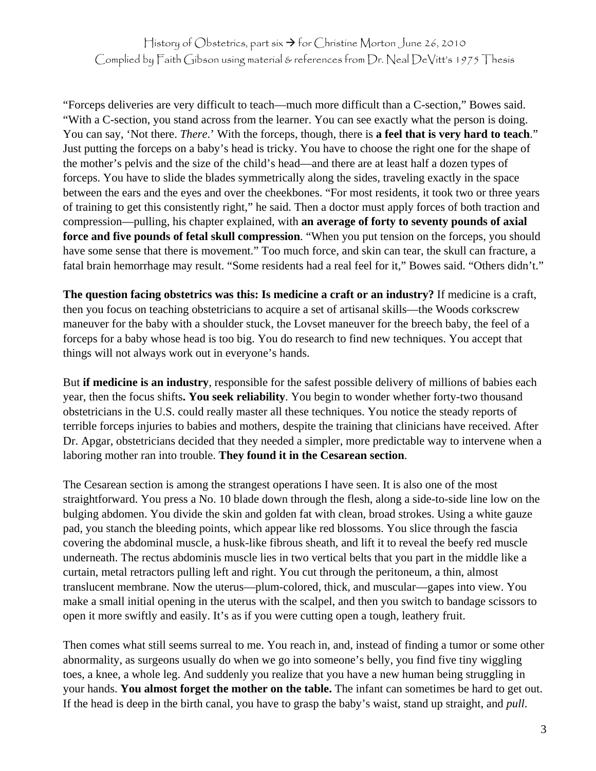"Forceps deliveries are very difficult to teach—much more difficult than a C-section," Bowes said. "With a C-section, you stand across from the learner. You can see exactly what the person is doing. You can say, 'Not there. *There*.' With the forceps, though, there is **a feel that is very hard to teach**." Just putting the forceps on a baby's head is tricky. You have to choose the right one for the shape of the mother's pelvis and the size of the child's head—and there are at least half a dozen types of forceps. You have to slide the blades symmetrically along the sides, traveling exactly in the space between the ears and the eyes and over the cheekbones. "For most residents, it took two or three years of training to get this consistently right," he said. Then a doctor must apply forces of both traction and compression—pulling, his chapter explained, with **an average of forty to seventy pounds of axial force and five pounds of fetal skull compression**. "When you put tension on the forceps, you should have some sense that there is movement." Too much force, and skin can tear, the skull can fracture, a fatal brain hemorrhage may result. "Some residents had a real feel for it," Bowes said. "Others didn't."

**The question facing obstetrics was this: Is medicine a craft or an industry?** If medicine is a craft, then you focus on teaching obstetricians to acquire a set of artisanal skills—the Woods corkscrew maneuver for the baby with a shoulder stuck, the Lovset maneuver for the breech baby, the feel of a forceps for a baby whose head is too big. You do research to find new techniques. You accept that things will not always work out in everyone's hands.

But **if medicine is an industry**, responsible for the safest possible delivery of millions of babies each year, then the focus shifts**. You seek reliability**. You begin to wonder whether forty-two thousand obstetricians in the U.S. could really master all these techniques. You notice the steady reports of terrible forceps injuries to babies and mothers, despite the training that clinicians have received. After Dr. Apgar, obstetricians decided that they needed a simpler, more predictable way to intervene when a laboring mother ran into trouble. **They found it in the Cesarean section**.

The Cesarean section is among the strangest operations I have seen. It is also one of the most straightforward. You press a No. 10 blade down through the flesh, along a side-to-side line low on the bulging abdomen. You divide the skin and golden fat with clean, broad strokes. Using a white gauze pad, you stanch the bleeding points, which appear like red blossoms. You slice through the fascia covering the abdominal muscle, a husk-like fibrous sheath, and lift it to reveal the beefy red muscle underneath. The rectus abdominis muscle lies in two vertical belts that you part in the middle like a curtain, metal retractors pulling left and right. You cut through the peritoneum, a thin, almost translucent membrane. Now the uterus—plum-colored, thick, and muscular—gapes into view. You make a small initial opening in the uterus with the scalpel, and then you switch to bandage scissors to open it more swiftly and easily. It's as if you were cutting open a tough, leathery fruit.

Then comes what still seems surreal to me. You reach in, and, instead of finding a tumor or some other abnormality, as surgeons usually do when we go into someone's belly, you find five tiny wiggling toes, a knee, a whole leg. And suddenly you realize that you have a new human being struggling in your hands. **You almost forget the mother on the table.** The infant can sometimes be hard to get out. If the head is deep in the birth canal, you have to grasp the baby's waist, stand up straight, and *pull*.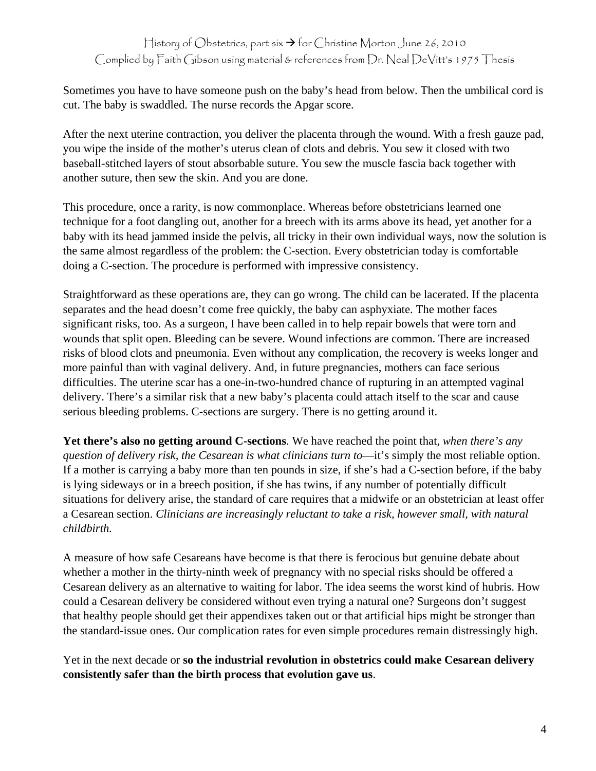Sometimes you have to have someone push on the baby's head from below. Then the umbilical cord is cut. The baby is swaddled. The nurse records the Apgar score.

After the next uterine contraction, you deliver the placenta through the wound. With a fresh gauze pad, you wipe the inside of the mother's uterus clean of clots and debris. You sew it closed with two baseball-stitched layers of stout absorbable suture. You sew the muscle fascia back together with another suture, then sew the skin. And you are done.

This procedure, once a rarity, is now commonplace. Whereas before obstetricians learned one technique for a foot dangling out, another for a breech with its arms above its head, yet another for a baby with its head jammed inside the pelvis, all tricky in their own individual ways, now the solution is the same almost regardless of the problem: the C-section. Every obstetrician today is comfortable doing a C-section. The procedure is performed with impressive consistency.

Straightforward as these operations are, they can go wrong. The child can be lacerated. If the placenta separates and the head doesn't come free quickly, the baby can asphyxiate. The mother faces significant risks, too. As a surgeon, I have been called in to help repair bowels that were torn and wounds that split open. Bleeding can be severe. Wound infections are common. There are increased risks of blood clots and pneumonia. Even without any complication, the recovery is weeks longer and more painful than with vaginal delivery. And, in future pregnancies, mothers can face serious difficulties. The uterine scar has a one-in-two-hundred chance of rupturing in an attempted vaginal delivery. There's a similar risk that a new baby's placenta could attach itself to the scar and cause serious bleeding problems. C-sections are surgery. There is no getting around it.

**Yet there's also no getting around C-sections**. We have reached the point that, *when there's any question of delivery risk, the Cesarean is what clinicians turn to*—it's simply the most reliable option. If a mother is carrying a baby more than ten pounds in size, if she's had a C-section before, if the baby is lying sideways or in a breech position, if she has twins, if any number of potentially difficult situations for delivery arise, the standard of care requires that a midwife or an obstetrician at least offer a Cesarean section. *Clinicians are increasingly reluctant to take a risk, however small, with natural childbirth.*

A measure of how safe Cesareans have become is that there is ferocious but genuine debate about whether a mother in the thirty-ninth week of pregnancy with no special risks should be offered a Cesarean delivery as an alternative to waiting for labor. The idea seems the worst kind of hubris. How could a Cesarean delivery be considered without even trying a natural one? Surgeons don't suggest that healthy people should get their appendixes taken out or that artificial hips might be stronger than the standard-issue ones. Our complication rates for even simple procedures remain distressingly high.

Yet in the next decade or **so the industrial revolution in obstetrics could make Cesarean delivery consistently safer than the birth process that evolution gave us**.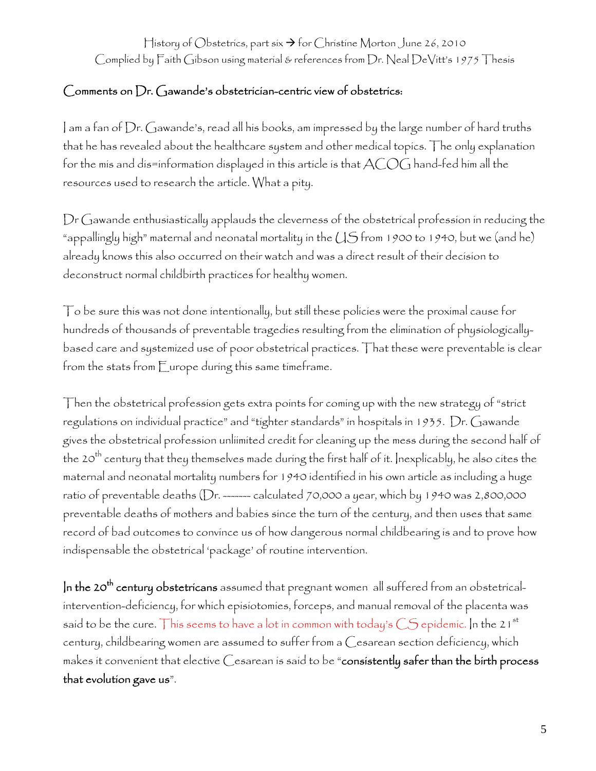## Comments on Dr. Gawande's obstetrician-centric view of obstetrics:

I am a fan of Dr. Gawande's, read all his books, am impressed by the large number of hard truths that he has revealed about the healthcare system and other medical topics. The only explanation for the mis and dis=information displayed in this article is that  $\mathsf{ACOG}$  hand-fed him all the resources used to research the article. What a pity.

Dr Gawande enthusiastically applauds the cleverness of the obstetrical profession in reducing the "appallingly high" maternal and neonatal mortality in the  $\bigcup$ S from 1900 to 1940, but we (and he) already knows this also occurred on their watch and was a direct result of their decision to deconstruct normal childbirth practices for healthy women.

To be sure this was not done intentionally, but still these policies were the proximal cause for hundreds of thousands of preventable tragedies resulting from the elimination of physiologicallybased care and systemized use of poor obstetrical practices. That these were preventable is clear from the stats from Europe during this same timeframe.

Then the obstetrical profession gets extra points for coming up with the new strategy of "strict regulations on individual practice" and "tighter standards" in hospitals in 1935. Dr. Gawande gives the obstetrical profession unliimited credit for cleaning up the mess during the second half of the 20<sup>th</sup> century that they themselves made during the first half of it. Inexplicably, he also cites the maternal and neonatal mortality numbers for 1940 identified in his own article as including a huge ratio of preventable deaths  $(Dr.$  ------ calculated 70,000 a year, which by 1940 was 2,800,000 preventable deaths of mothers and babies since the turn of the century, and then uses that same record of bad outcomes to convince us of how dangerous normal childbearing is and to prove how indispensable the obstetrical 'package' of routine intervention.

In the 20<sup>th</sup> century obstetricans assumed that pregnant women all suffered from an obstetricalintervention-deficiency, for which episiotomies, forceps, and manual removal of the placenta was said to be the cure. This seems to have a lot in common with today's CS epidemic. In the 21<sup>st</sup> century, childbearing women are assumed to suffer from a Cesarean section deficiency, which makes it convenient that elective Cesarean is said to be "consistently safer than the birth process that evolution gave us".